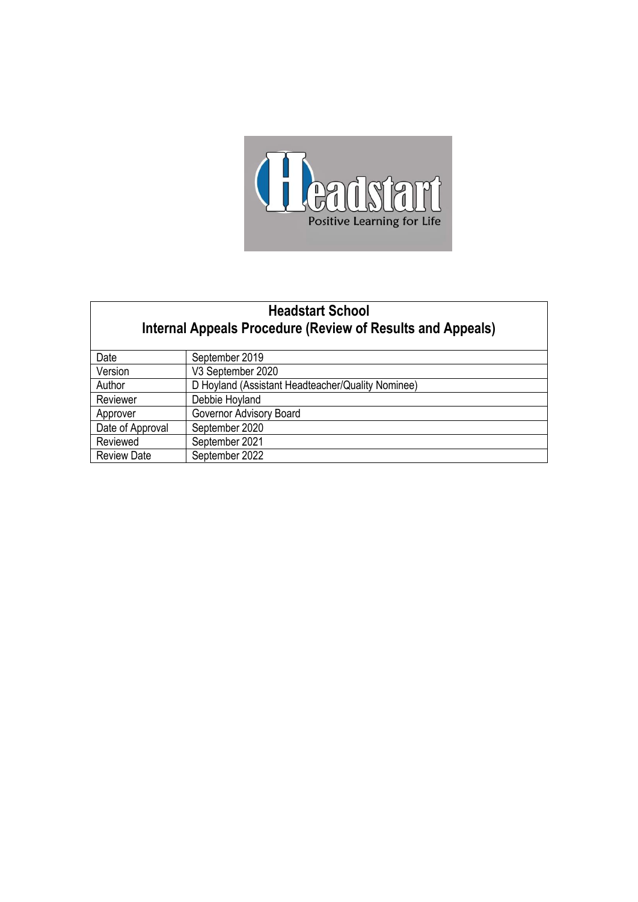

# **Headstart School Internal Appeals Procedure (Review of Results and Appeals)**

| Date               | September 2019                                    |
|--------------------|---------------------------------------------------|
| Version            | V3 September 2020                                 |
| Author             | D Hoyland (Assistant Headteacher/Quality Nominee) |
| Reviewer           | Debbie Hoyland                                    |
| Approver           | Governor Advisory Board                           |
| Date of Approval   | September 2020                                    |
| Reviewed           | September 2021                                    |
| <b>Review Date</b> | September 2022                                    |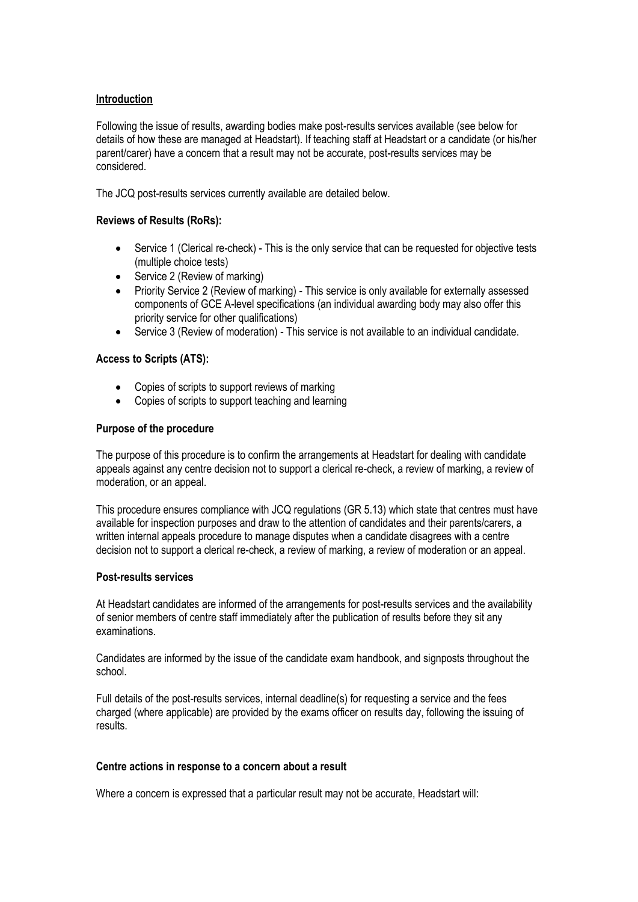#### **Introduction**

Following the issue of results, awarding bodies make post-results services available (see below for details of how these are managed at Headstart). If teaching staff at Headstart or a candidate (or his/her parent/carer) have a concern that a result may not be accurate, post-results services may be considered.

The JCQ post-results services currently available are detailed below.

#### **Reviews of Results (RoRs):**

- Service 1 (Clerical re-check) This is the only service that can be requested for objective tests (multiple choice tests)
- Service 2 (Review of marking)
- Priority Service 2 (Review of marking) This service is only available for externally assessed components of GCE A-level specifications (an individual awarding body may also offer this priority service for other qualifications)
- Service 3 (Review of moderation) This service is not available to an individual candidate.

#### **Access to Scripts (ATS):**

- Copies of scripts to support reviews of marking
- Copies of scripts to support teaching and learning

#### **Purpose of the procedure**

The purpose of this procedure is to confirm the arrangements at Headstart for dealing with candidate appeals against any centre decision not to support a clerical re-check, a review of marking, a review of moderation, or an appeal.

This procedure ensures compliance with JCQ regulations (GR 5.13) which state that centres must have available for inspection purposes and draw to the attention of candidates and their parents/carers, a written internal appeals procedure to manage disputes when a candidate disagrees with a centre decision not to support a clerical re-check, a review of marking, a review of moderation or an appeal.

#### **Post-results services**

At Headstart candidates are informed of the arrangements for post-results services and the availability of senior members of centre staff immediately after the publication of results before they sit any examinations.

Candidates are informed by the issue of the candidate exam handbook, and signposts throughout the school.

Full details of the post-results services, internal deadline(s) for requesting a service and the fees charged (where applicable) are provided by the exams officer on results day, following the issuing of results.

#### **Centre actions in response to a concern about a result**

Where a concern is expressed that a particular result may not be accurate, Headstart will: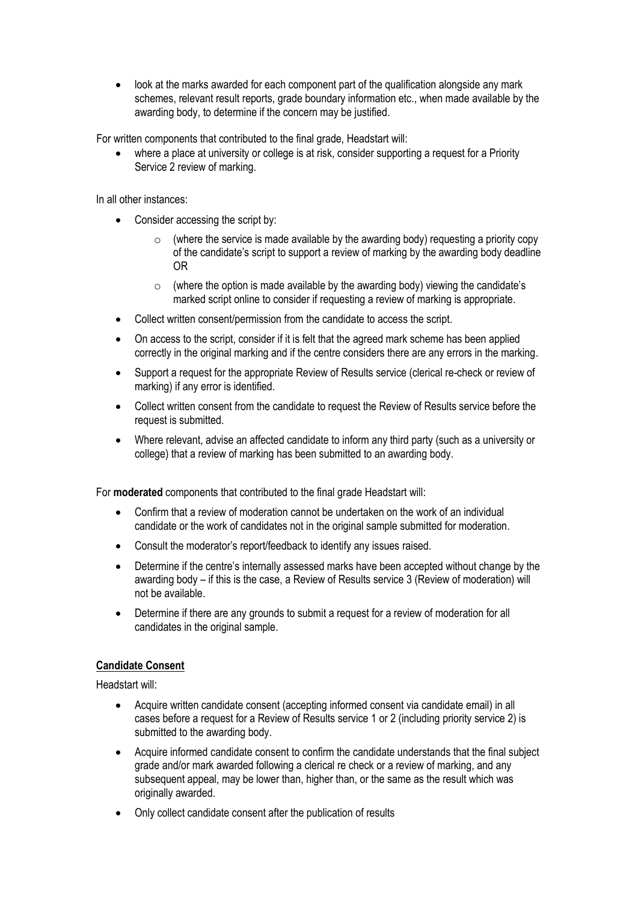• look at the marks awarded for each component part of the qualification alongside any mark schemes, relevant result reports, grade boundary information etc., when made available by the awarding body, to determine if the concern may be justified.

For written components that contributed to the final grade, Headstart will:

where a place at university or college is at risk, consider supporting a request for a Priority Service 2 review of marking.

In all other instances:

- Consider accessing the script by:
	- $\circ$  (where the service is made available by the awarding body) requesting a priority copy of the candidate's script to support a review of marking by the awarding body deadline OR
	- $\circ$  (where the option is made available by the awarding body) viewing the candidate's marked script online to consider if requesting a review of marking is appropriate.
- Collect written consent/permission from the candidate to access the script.
- On access to the script, consider if it is felt that the agreed mark scheme has been applied correctly in the original marking and if the centre considers there are any errors in the marking.
- Support a request for the appropriate Review of Results service (clerical re-check or review of marking) if any error is identified.
- Collect written consent from the candidate to request the Review of Results service before the request is submitted.
- Where relevant, advise an affected candidate to inform any third party (such as a university or college) that a review of marking has been submitted to an awarding body.

For **moderated** components that contributed to the final grade Headstart will:

- Confirm that a review of moderation cannot be undertaken on the work of an individual candidate or the work of candidates not in the original sample submitted for moderation.
- Consult the moderator's report/feedback to identify any issues raised.
- Determine if the centre's internally assessed marks have been accepted without change by the awarding body – if this is the case, a Review of Results service 3 (Review of moderation) will not be available.
- Determine if there are any grounds to submit a request for a review of moderation for all candidates in the original sample.

## **Candidate Consent**

Headstart will:

- Acquire written candidate consent (accepting informed consent via candidate email) in all cases before a request for a Review of Results service 1 or 2 (including priority service 2) is submitted to the awarding body.
- Acquire informed candidate consent to confirm the candidate understands that the final subject grade and/or mark awarded following a clerical re check or a review of marking, and any subsequent appeal, may be lower than, higher than, or the same as the result which was originally awarded.
- Only collect candidate consent after the publication of results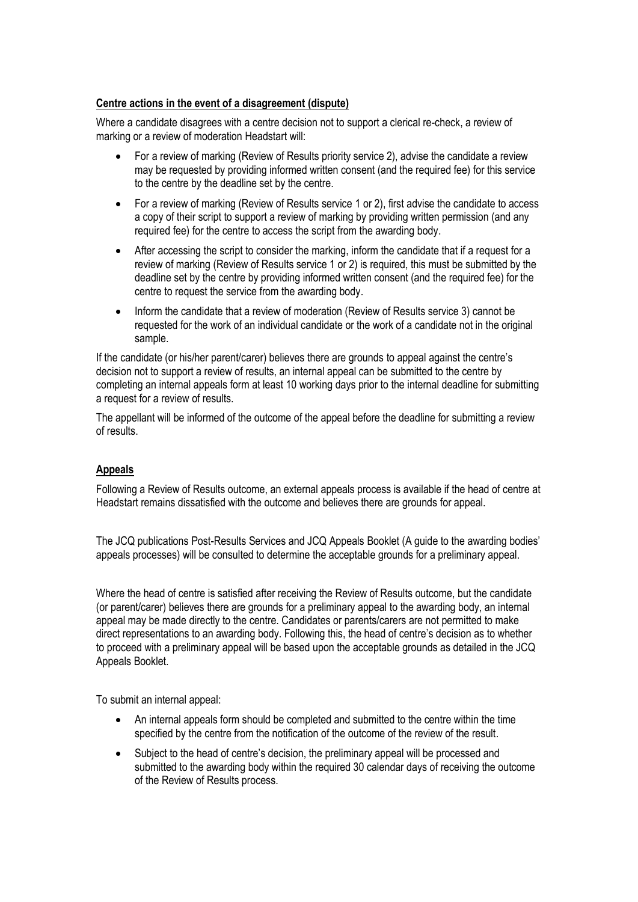#### **Centre actions in the event of a disagreement (dispute)**

Where a candidate disagrees with a centre decision not to support a clerical re-check, a review of marking or a review of moderation Headstart will:

- For a review of marking (Review of Results priority service 2), advise the candidate a review may be requested by providing informed written consent (and the required fee) for this service to the centre by the deadline set by the centre.
- For a review of marking (Review of Results service 1 or 2), first advise the candidate to access a copy of their script to support a review of marking by providing written permission (and any required fee) for the centre to access the script from the awarding body.
- After accessing the script to consider the marking, inform the candidate that if a request for a review of marking (Review of Results service 1 or 2) is required, this must be submitted by the deadline set by the centre by providing informed written consent (and the required fee) for the centre to request the service from the awarding body.
- Inform the candidate that a review of moderation (Review of Results service 3) cannot be requested for the work of an individual candidate or the work of a candidate not in the original sample.

If the candidate (or his/her parent/carer) believes there are grounds to appeal against the centre's decision not to support a review of results, an internal appeal can be submitted to the centre by completing an internal appeals form at least 10 working days prior to the internal deadline for submitting a request for a review of results.

The appellant will be informed of the outcome of the appeal before the deadline for submitting a review of results.

## **Appeals**

Following a Review of Results outcome, an external appeals process is available if the head of centre at Headstart remains dissatisfied with the outcome and believes there are grounds for appeal.

The JCQ publications Post-Results Services and JCQ Appeals Booklet (A guide to the awarding bodies' appeals processes) will be consulted to determine the acceptable grounds for a preliminary appeal.

Where the head of centre is satisfied after receiving the Review of Results outcome, but the candidate (or parent/carer) believes there are grounds for a preliminary appeal to the awarding body, an internal appeal may be made directly to the centre. Candidates or parents/carers are not permitted to make direct representations to an awarding body. Following this, the head of centre's decision as to whether to proceed with a preliminary appeal will be based upon the acceptable grounds as detailed in the JCQ Appeals Booklet.

To submit an internal appeal:

- An internal appeals form should be completed and submitted to the centre within the time specified by the centre from the notification of the outcome of the review of the result.
- Subject to the head of centre's decision, the preliminary appeal will be processed and submitted to the awarding body within the required 30 calendar days of receiving the outcome of the Review of Results process.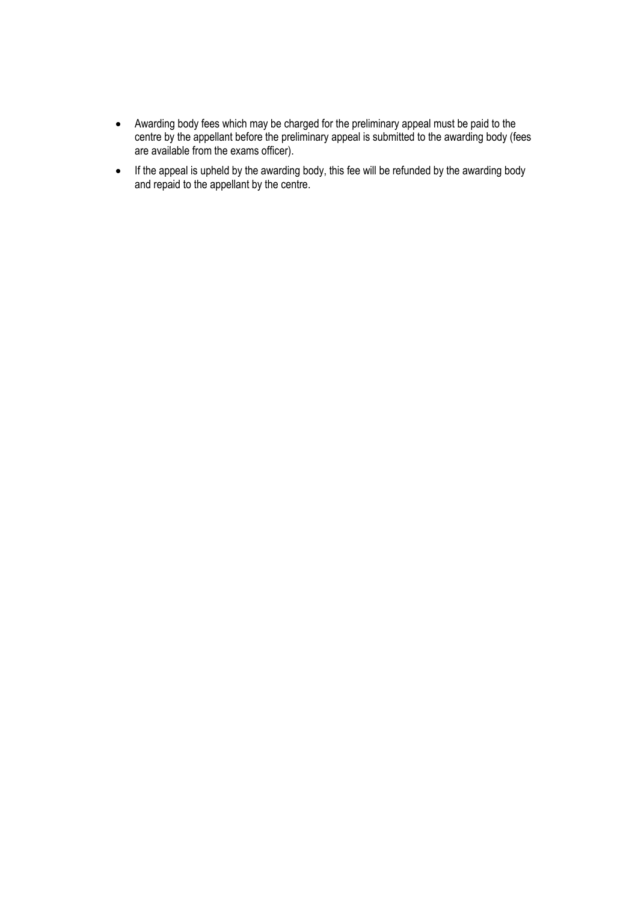- Awarding body fees which may be charged for the preliminary appeal must be paid to the centre by the appellant before the preliminary appeal is submitted to the awarding body (fees are available from the exams officer).
- If the appeal is upheld by the awarding body, this fee will be refunded by the awarding body and repaid to the appellant by the centre.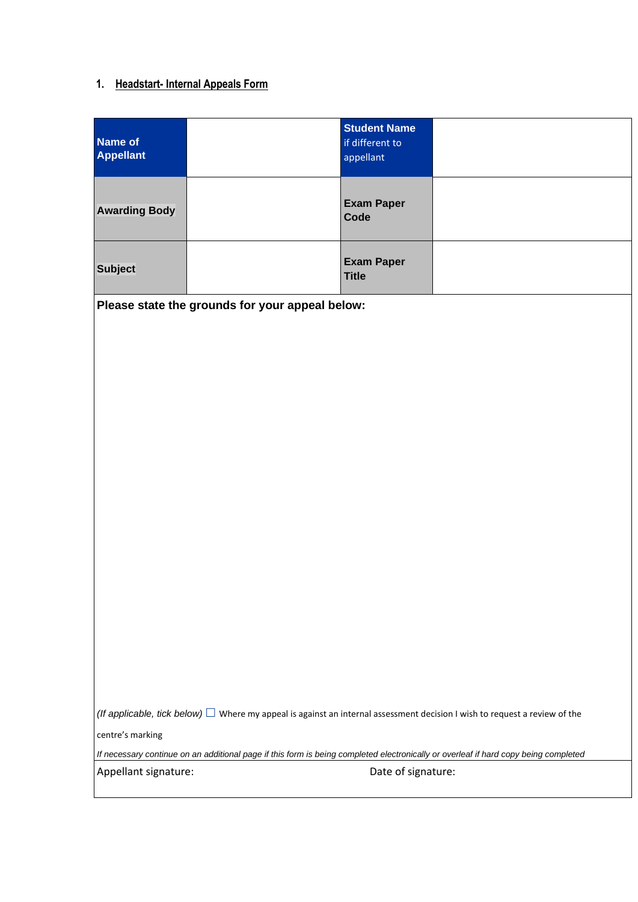# **1. Headstart- Internal Appeals Form**

| Name of<br><b>Appellant</b> | <b>Student Name</b><br>if different to<br>appellant |  |
|-----------------------------|-----------------------------------------------------|--|
| <b>Awarding Body</b>        | <b>Exam Paper</b><br><b>Code</b>                    |  |
| <b>Subject</b>              | <b>Exam Paper</b><br><b>Title</b>                   |  |

**Please state the grounds for your appeal below:**

*(If applicable, tick below)*  $\Box$  Where my appeal is against an internal assessment decision I wish to request a review of the

centre's marking

*If necessary continue on an additional page if this form is being completed electronically or overleaf if hard copy being completed*

Appellant signature:  $\qquad \qquad$  Date of signature: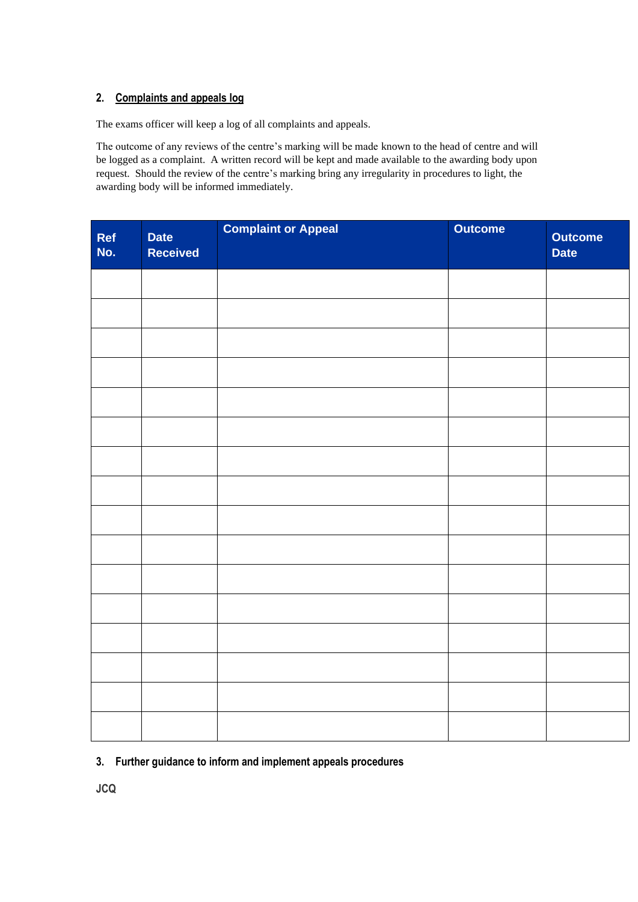## **2. Complaints and appeals log**

The exams officer will keep a log of all complaints and appeals.

The outcome of any reviews of the centre's marking will be made known to the head of centre and will be logged as a complaint. A written record will be kept and made available to the awarding body upon request. Should the review of the centre's marking bring any irregularity in procedures to light, the awarding body will be informed immediately.

| Ref<br>No. | <b>Date</b><br><b>Received</b> | <b>Complaint or Appeal</b> | <b>Outcome</b> | <b>Outcome</b><br><b>Date</b> |
|------------|--------------------------------|----------------------------|----------------|-------------------------------|
|            |                                |                            |                |                               |
|            |                                |                            |                |                               |
|            |                                |                            |                |                               |
|            |                                |                            |                |                               |
|            |                                |                            |                |                               |
|            |                                |                            |                |                               |
|            |                                |                            |                |                               |
|            |                                |                            |                |                               |
|            |                                |                            |                |                               |
|            |                                |                            |                |                               |
|            |                                |                            |                |                               |
|            |                                |                            |                |                               |
|            |                                |                            |                |                               |
|            |                                |                            |                |                               |
|            |                                |                            |                |                               |
|            |                                |                            |                |                               |

## **3. Further guidance to inform and implement appeals procedures**

**JCQ**